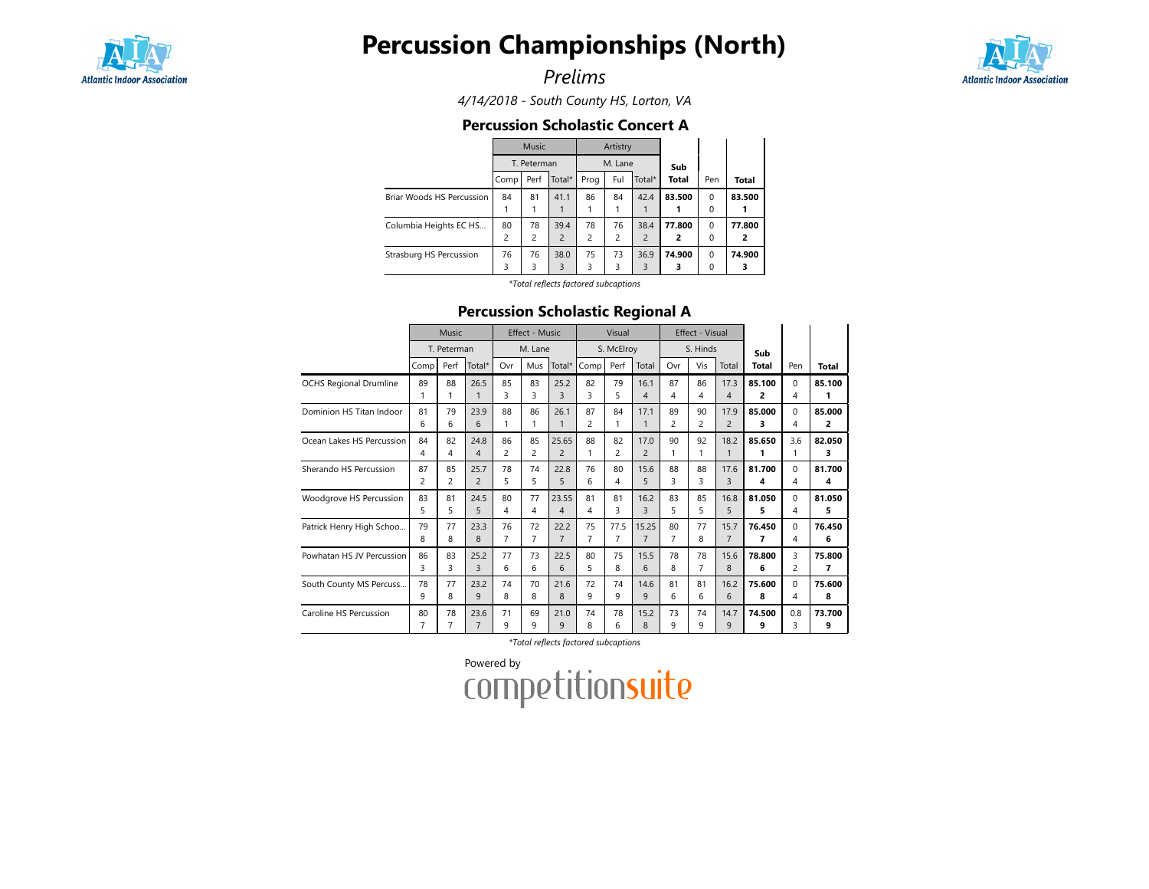

# Percussion Championships (North)

Prelims



4/14/2018 - South County HS, Lorton, VA

### Percussion Scholastic Concert A

|                           |                | <b>Music</b> |                |      | Artistry |                |              |          |              |  |  |
|---------------------------|----------------|--------------|----------------|------|----------|----------------|--------------|----------|--------------|--|--|
|                           |                | T. Peterman  |                |      | M. Lane  |                | Sub          |          |              |  |  |
|                           | Comp           | Perf         | Total*         | Prog | Ful      | Total*         | <b>Total</b> | Pen      | <b>Total</b> |  |  |
| Briar Woods HS Percussion | 84             | 81           | 41.1           | 86   | 84       | 42.4           | 83.500       | $\Omega$ | 83.500       |  |  |
|                           |                |              |                |      |          |                |              | 0        |              |  |  |
| Columbia Heights EC HS    | 80             | 78           | 39.4           | 78   | 76       | 38.4           | 77.800       | $\Omega$ | 77.800       |  |  |
|                           | $\overline{c}$ | 2            | $\overline{2}$ | 2    | 2        | $\overline{c}$ | 2            | 0        | 2            |  |  |
| Strasburg HS Percussion   | 76             | 76           | 38.0           | 75   | 73       | 36.9           | 74.900       | $\Omega$ | 74.900       |  |  |
|                           | 3              | 3            | 3              | 3    | 3        | 3              | 3            | 0        | 3            |  |  |
|                           |                |              |                |      |          |                |              |          |              |  |  |

\*Total reflects factored subcaptions

## Percussion Scholastic Regional A

|                               | Music       |      |                | <b>Effect - Music</b> |     |                |                | Visual         |                |                | Effect - Visual |                |        |                |                |
|-------------------------------|-------------|------|----------------|-----------------------|-----|----------------|----------------|----------------|----------------|----------------|-----------------|----------------|--------|----------------|----------------|
|                               | T. Peterman |      |                | M. Lane               |     |                | S. McElroy     |                |                | S. Hinds       |                 |                | Sub    |                |                |
|                               | Comp        | Perf | Total*         | Ovr                   | Mus | Total*         | Comp           | Perf           | Total          | Ovr            | Vis             | Total          | Total  | Pen            | Total          |
| <b>OCHS Regional Drumline</b> | 89          | 88   | 26.5           | 85                    | 83  | 25.2           | 82             | 79             | 16.1           | 87             | 86              | 17.3           | 85.100 | $\mathbf 0$    | 85.100         |
|                               | 1           | 1    | 1              | 3                     | 3   | 3              | 3              | 5              | 4              | 4              | 4               | $\overline{4}$ | 2      | 4              | 1              |
| Dominion HS Titan Indoor      | 81          | 79   | 23.9           | 88                    | 86  | 26.1           | 87             | 84             | 17.1           | 89             | 90              | 17.9           | 85.000 | $\mathbf 0$    | 85.000         |
|                               | 6           | 6    | 6              | 1                     | 1   | $\mathbf{1}$   | $\overline{c}$ | 1              | $\mathbf{1}$   | $\overline{c}$ | $\overline{c}$  | $\overline{2}$ | 3      | 4              | $\overline{2}$ |
| Ocean Lakes HS Percussion     | 84          | 82   | 24.8           | 86                    | 85  | 25.65          | 88             | 82             | 17.0           | 90             | 92              | 18.2           | 85.650 | 3.6            | 82.050         |
|                               | 4           | 4    | $\overline{4}$ | $\overline{c}$        | 2   | $\overline{2}$ | 1              | $\overline{c}$ | $\overline{c}$ | 1              |                 |                | 1      | 1              | 3              |
| Sherando HS Percussion        | 87          | 85   | 25.7           | 78                    | 74  | 22.8           | 76             | 80             | 15.6           | 88             | 88              | 17.6           | 81.700 | $\Omega$       | 81.700         |
|                               | 2           | 2    | $\overline{2}$ | 5                     | 5   | 5              | 6              | 4              | 5              | 3              | 3               | 3              | 4      | 4              | 4              |
| Woodgrove HS Percussion       | 83          | 81   | 24.5           | 80                    | 77  | 23.55          | 81             | 81             | 16.2           | 83             | 85              | 16.8           | 81.050 | $\Omega$       | 81.050         |
|                               | 5           | 5    | 5              | 4                     | 4   | 4              | 4              | 3              | 3              | 5              | 5               | 5              | 5      | 4              | 5              |
| Patrick Henry High Schoo      | 79          | 77   | 23.3           | 76                    | 72  | 22.2           | 75             | 77.5           | 15.25          | 80             | 77              | 15.7           | 76.450 | $\Omega$       | 76.450         |
|                               | 8           | 8    | 8              | 7                     | 7   | $\overline{7}$ | $\overline{7}$ | 7              | $\overline{7}$ | 7              | 8               | $\overline{7}$ | 7      | 4              | 6              |
| Powhatan HS JV Percussion     | 86          | 83   | 25.2           | 77                    | 73  | 22.5           | 80             | 75             | 15.5           | 78             | 78              | 15.6           | 78.800 | 3              | 75.800         |
|                               | 3           | 3    | 3              | 6                     | 6   | 6              | 5              | 8              | 6              | 8              | 7               | 8              | 6      | $\overline{2}$ | 7              |
| South County MS Percuss       | 78          | 77   | 23.2           | 74                    | 70  | 21.6           | 72             | 74             | 14.6           | 81             | 81              | 16.2           | 75.600 | $\Omega$       | 75.600         |
|                               | 9           | 8    | 9              | 8                     | 8   | 8              | 9              | 9              | 9              | 6              | 6               | 6              | 8      | 4              | 8              |
| Caroline HS Percussion        | 80          | 78   | 23.6           | 71                    | 69  | 21.0           | 74             | 78             | 15.2           | 73             | 74              | 14.7           | 74.500 | 0.8            | 73.700         |
|                               | 7           | 7    | $\overline{7}$ | 9                     | 9   | 9              | 8              | 6              | 8              | q              | q               | $\mathsf{Q}$   | 9      | 3              | 9              |

\*Total reflects factored subcaptions

Powered by<br>COMPETitionsuite